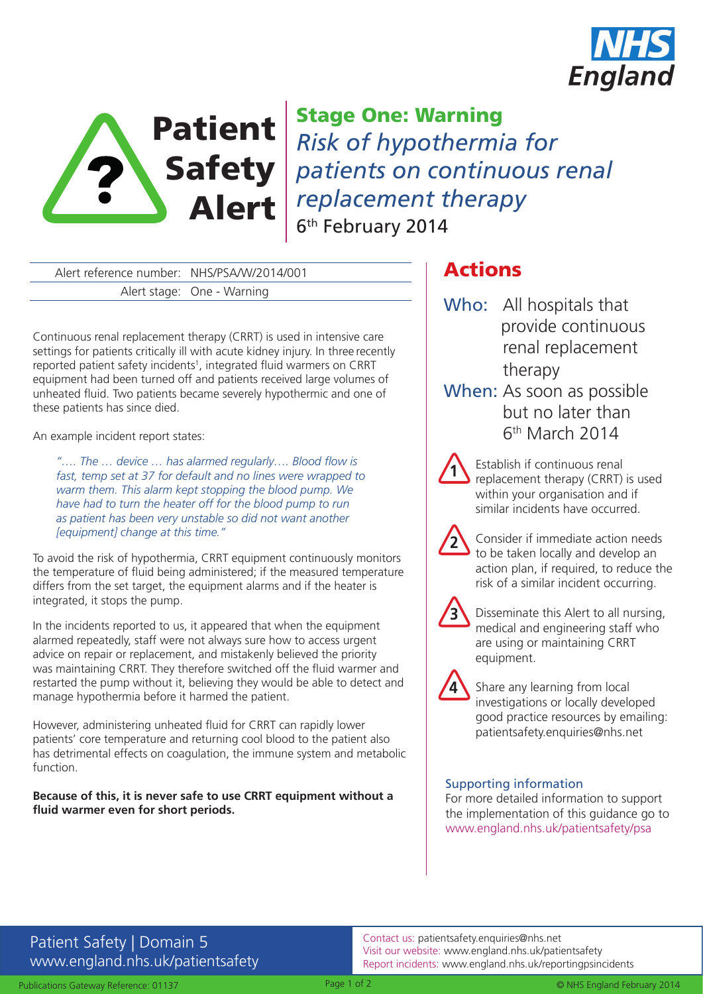



Safety *patients on continuous renal*  Alert *replacement therapy* Stage One: Warning *Risk of hypothermia for*  6<sup>th</sup> February 2014

Alert reference number: NHS/PSA/W/2014/001 Alert stage: One - Warning

Continuous renal replacement therapy (CRRT) is used in intensive care settings for patients critically ill with acute kidney injury. In three recently reported patient safety incidents<sup>1</sup>, integrated fluid warmers on CRRT equipment had been turned off and patients received large volumes of unheated fluid. Two patients became severely hypothermic and one of these patients has since died.

An example incident report states:

*"…. The … device … has alarmed regularly…. Blood flow is fast, temp set at 37 for default and no lines were wrapped to warm them. This alarm kept stopping the blood pump. We have had to turn the heater off for the blood pump to run as patient has been very unstable so did not want another [equipment] change at this time."*

To avoid the risk of hypothermia, CRRT equipment continuously monitors the temperature of fluid being administered; if the measured temperature differs from the set target, the equipment alarms and if the heater is integrated, it stops the pump.

In the incidents reported to us, it appeared that when the equipment alarmed repeatedly, staff were not always sure how to access urgent advice on repair or replacement, and mistakenly believed the priority was maintaining CRRT. They therefore switched off the fluid warmer and restarted the pump without it, believing they would be able to detect and manage hypothermia before it harmed the patient.

However, administering unheated fluid for CRRT can rapidly lower patients' core temperature and returning cool blood to the patient also has detrimental effects on coagulation, the immune system and metabolic function.

### **Because of this, it is never safe to use CRRT equipment without a fluid warmer even for short periods.**

# Actions

- Who: All hospitals that provide continuous renal replacement therapy
- When: As soon as possible but no later than 6th March 2014
	- Establish if continuous renal replacement therapy (CRRT) is used within your organisation and if similar incidents have occurred.
		- Consider if immediate action needs to be taken locally and develop an action plan, if required, to reduce the risk of a similar incident occurring.



**1**

**2**

Disseminate this Alert to all nursing, medical and engineering staff who are using or maintaining CRRT equipment.



Share any learning from local investigations or locally developed good practice resources by emailing: patientsafety.enquiries@nhs.net

### Supporting information

For more detailed information to support the implementation of this guidance go to www.england.nhs.uk/patientsafety/psa

## Patient Safety | Domain 5 www.england.nhs.uk/patientsafety

Contact us: patientsafety.enquiries@nhs.net Visit our website: www.england.nhs.uk/patientsafety Report incidents: www.england.nhs.uk/reportingpsincidents